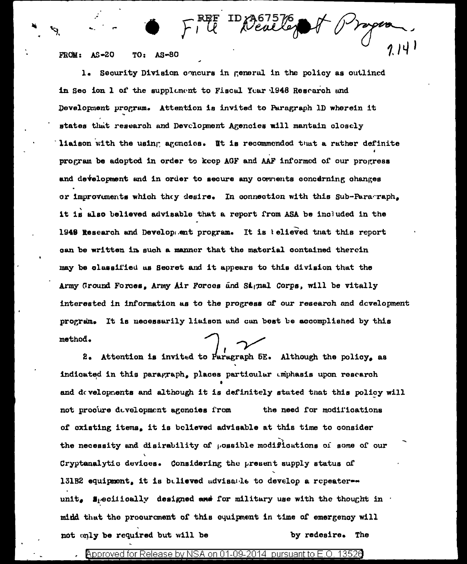$FROM: AS=20$ TO: AS-80

1. Security Division concurs in general in the policy as outlined in Seo ion 1 of the supplement to Fiscal Year 1948 Research and Development program. Attention is invited to Paragraph 1D wherein it states that research and Development Agencies will mantain closely liaison with the using agencies. It is recommended that a rather definite program be adopted in order to keep AGF and AAF informed of our progress and development and in order to secure any comments concerning changes or improvements which they desire. In connection with this Sub-Paraments it is also believed advisable that a report from ASA be included in the 1948 Research and Development program. It is telleved that this report can be written in such a manner that the material contained therein may be classified as Secret and it appears to this division that the Army Ground Forces, Army Air Forces and Signal Corps, will be vitally interested in information as to the progress of our research and development program. It is necessarily liaison and can best be accomplished by this method.

ID 2367576<br>Neal Leg

2. Attention is invited to Paragraph 5E. Although the policy, as indicated in this paragraph, places particular umphasis upon rescarch and developments and although it is definitely stated that this policy will not procure development agencies from the need for modifications of existing items, it is believed advisable at this time to consider the necessity and disirability of possible modifications of some of our Cryptanalytic devices. Considering the present supply status of 131B2 equipment, it is bulieved advisable to develop a repeaterunit. Specifically designed and for military use with the thought in midd that the procurament of this equipment in time of emergency will not only be required but will be by redesire. The

Approved for Release by NSA on 01-09-2014 pursuant to E.O. 13526